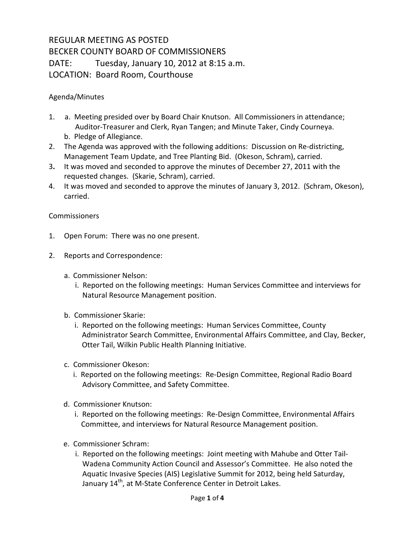## REGULAR MEETING AS POSTED BECKER COUNTY BOARD OF COMMISSIONERS DATE: Tuesday, January 10, 2012 at 8:15 a.m. LOCATION: Board Room, Courthouse

## Agenda/Minutes

- 1. a. Meeting presided over by Board Chair Knutson. All Commissioners in attendance; Auditor-Treasurer and Clerk, Ryan Tangen; and Minute Taker, Cindy Courneya. b. Pledge of Allegiance.
- 2. The Agenda was approved with the following additions: Discussion on Re-districting, Management Team Update, and Tree Planting Bid. (Okeson, Schram), carried.
- 3**.** It was moved and seconded to approve the minutes of December 27, 2011 with the requested changes. (Skarie, Schram), carried.
- 4. It was moved and seconded to approve the minutes of January 3, 2012. (Schram, Okeson), carried.

## **Commissioners**

- 1. Open Forum: There was no one present.
- 2. Reports and Correspondence:
	- a. Commissioner Nelson:
		- i. Reported on the following meetings: Human Services Committee and interviews for Natural Resource Management position.
	- b. Commissioner Skarie:
		- i. Reported on the following meetings: Human Services Committee, County Administrator Search Committee, Environmental Affairs Committee, and Clay, Becker, Otter Tail, Wilkin Public Health Planning Initiative.
	- c. Commissioner Okeson:
		- i. Reported on the following meetings: Re-Design Committee, Regional Radio Board Advisory Committee, and Safety Committee.
	- d. Commissioner Knutson:
		- i. Reported on the following meetings: Re-Design Committee, Environmental Affairs Committee, and interviews for Natural Resource Management position.
	- e. Commissioner Schram:
		- i. Reported on the following meetings: Joint meeting with Mahube and Otter Tail-Wadena Community Action Council and Assessor's Committee. He also noted the Aquatic Invasive Species (AIS) Legislative Summit for 2012, being held Saturday, January 14<sup>th</sup>, at M-State Conference Center in Detroit Lakes.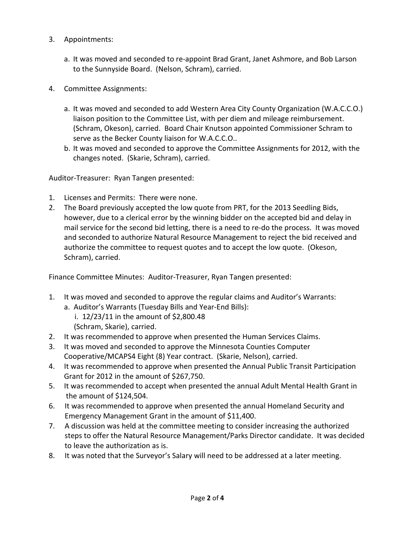- 3. Appointments:
	- a. It was moved and seconded to re-appoint Brad Grant, Janet Ashmore, and Bob Larson to the Sunnyside Board. (Nelson, Schram), carried.
- 4. Committee Assignments:
	- a. It was moved and seconded to add Western Area City County Organization (W.A.C.C.O.) liaison position to the Committee List, with per diem and mileage reimbursement. (Schram, Okeson), carried. Board Chair Knutson appointed Commissioner Schram to serve as the Becker County liaison for W.A.C.C.O..
	- b. It was moved and seconded to approve the Committee Assignments for 2012, with the changes noted. (Skarie, Schram), carried.

Auditor-Treasurer: Ryan Tangen presented:

- 1. Licenses and Permits: There were none.
- 2. The Board previously accepted the low quote from PRT, for the 2013 Seedling Bids, however, due to a clerical error by the winning bidder on the accepted bid and delay in mail service for the second bid letting, there is a need to re-do the process. It was moved and seconded to authorize Natural Resource Management to reject the bid received and authorize the committee to request quotes and to accept the low quote. (Okeson, Schram), carried.

Finance Committee Minutes: Auditor-Treasurer, Ryan Tangen presented:

- 1. It was moved and seconded to approve the regular claims and Auditor's Warrants:
	- a. Auditor's Warrants (Tuesday Bills and Year-End Bills):
		- i. 12/23/11 in the amount of \$2,800.48
		- (Schram, Skarie), carried.
- 2. It was recommended to approve when presented the Human Services Claims.
- 3. It was moved and seconded to approve the Minnesota Counties Computer Cooperative/MCAPS4 Eight (8) Year contract. (Skarie, Nelson), carried.
- 4. It was recommended to approve when presented the Annual Public Transit Participation Grant for 2012 in the amount of \$267,750.
- 5. It was recommended to accept when presented the annual Adult Mental Health Grant in the amount of \$124,504.
- 6. It was recommended to approve when presented the annual Homeland Security and Emergency Management Grant in the amount of \$11,400.
- 7. A discussion was held at the committee meeting to consider increasing the authorized steps to offer the Natural Resource Management/Parks Director candidate. It was decided to leave the authorization as is.
- 8. It was noted that the Surveyor's Salary will need to be addressed at a later meeting.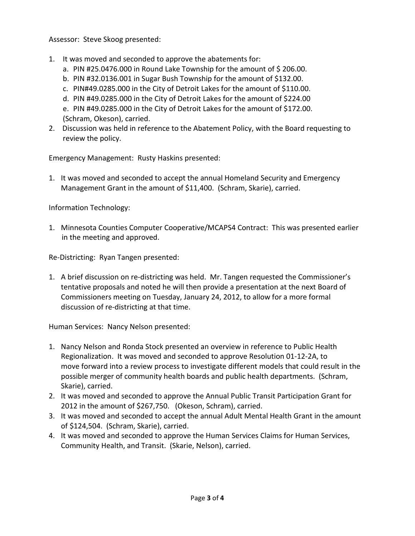Assessor: Steve Skoog presented:

- 1. It was moved and seconded to approve the abatements for:
	- a. PIN #25.0476.000 in Round Lake Township for the amount of \$ 206.00.
	- b. PIN #32.0136.001 in Sugar Bush Township for the amount of \$132.00.
	- c. PIN#49.0285.000 in the City of Detroit Lakes for the amount of \$110.00.
	- d. PIN #49.0285.000 in the City of Detroit Lakes for the amount of \$224.00
	- e. PIN #49.0285.000 in the City of Detroit Lakes for the amount of \$172.00. (Schram, Okeson), carried.
- 2. Discussion was held in reference to the Abatement Policy, with the Board requesting to review the policy.

Emergency Management: Rusty Haskins presented:

1. It was moved and seconded to accept the annual Homeland Security and Emergency Management Grant in the amount of \$11,400. (Schram, Skarie), carried.

Information Technology:

1. Minnesota Counties Computer Cooperative/MCAPS4 Contract: This was presented earlier in the meeting and approved.

Re-Districting: Ryan Tangen presented:

1. A brief discussion on re-districting was held. Mr. Tangen requested the Commissioner's tentative proposals and noted he will then provide a presentation at the next Board of Commissioners meeting on Tuesday, January 24, 2012, to allow for a more formal discussion of re-districting at that time.

Human Services: Nancy Nelson presented:

- 1. Nancy Nelson and Ronda Stock presented an overview in reference to Public Health Regionalization. It was moved and seconded to approve Resolution 01-12-2A, to move forward into a review process to investigate different models that could result in the possible merger of community health boards and public health departments. (Schram, Skarie), carried.
- 2. It was moved and seconded to approve the Annual Public Transit Participation Grant for 2012 in the amount of \$267,750. (Okeson, Schram), carried.
- 3. It was moved and seconded to accept the annual Adult Mental Health Grant in the amount of \$124,504. (Schram, Skarie), carried.
- 4. It was moved and seconded to approve the Human Services Claims for Human Services, Community Health, and Transit. (Skarie, Nelson), carried.